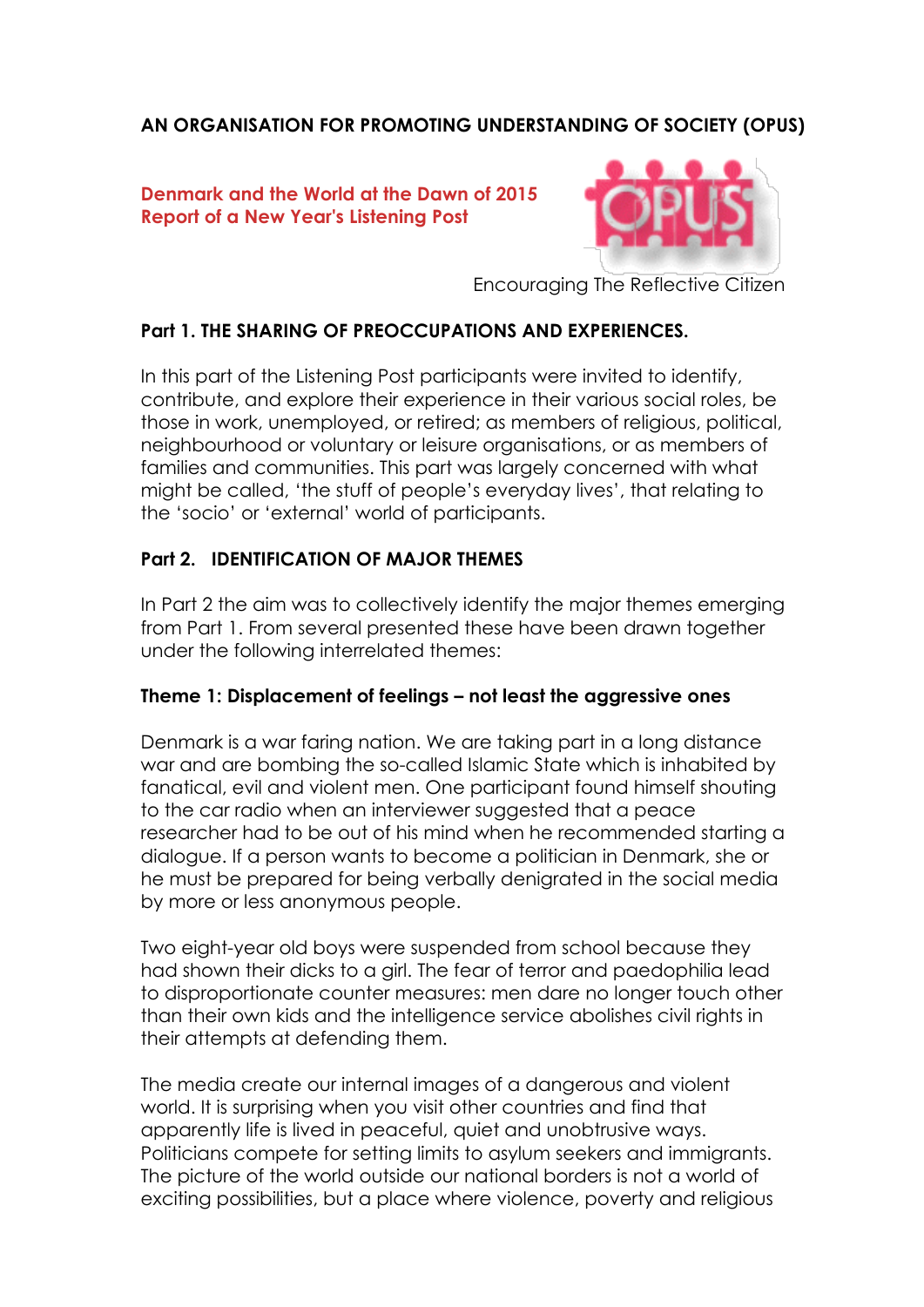# **AN ORGANISATION FOR PROMOTING UNDERSTANDING OF SOCIETY (OPUS)**

### **Denmark and the World at the Dawn of 2015 Report of a New Year's Listening Post**



Encouraging The Reflective Citizen

## **Part 1. THE SHARING OF PREOCCUPATIONS AND EXPERIENCES.**

In this part of the Listening Post participants were invited to identify, contribute, and explore their experience in their various social roles, be those in work, unemployed, or retired; as members of religious, political, neighbourhood or voluntary or leisure organisations, or as members of families and communities. This part was largely concerned with what might be called, 'the stuff of people's everyday lives', that relating to the 'socio' or 'external' world of participants.

### **Part 2. IDENTIFICATION OF MAJOR THEMES**

In Part 2 the aim was to collectively identify the major themes emerging from Part 1. From several presented these have been drawn together under the following interrelated themes:

#### **Theme 1: Displacement of feelings – not least the aggressive ones**

Denmark is a war faring nation. We are taking part in a long distance war and are bombing the so-called Islamic State which is inhabited by fanatical, evil and violent men. One participant found himself shouting to the car radio when an interviewer suggested that a peace researcher had to be out of his mind when he recommended starting a dialogue. If a person wants to become a politician in Denmark, she or he must be prepared for being verbally denigrated in the social media by more or less anonymous people.

Two eight-year old boys were suspended from school because they had shown their dicks to a girl. The fear of terror and paedophilia lead to disproportionate counter measures: men dare no longer touch other than their own kids and the intelligence service abolishes civil rights in their attempts at defending them.

The media create our internal images of a dangerous and violent world. It is surprising when you visit other countries and find that apparently life is lived in peaceful, quiet and unobtrusive ways. Politicians compete for setting limits to asylum seekers and immigrants. The picture of the world outside our national borders is not a world of exciting possibilities, but a place where violence, poverty and religious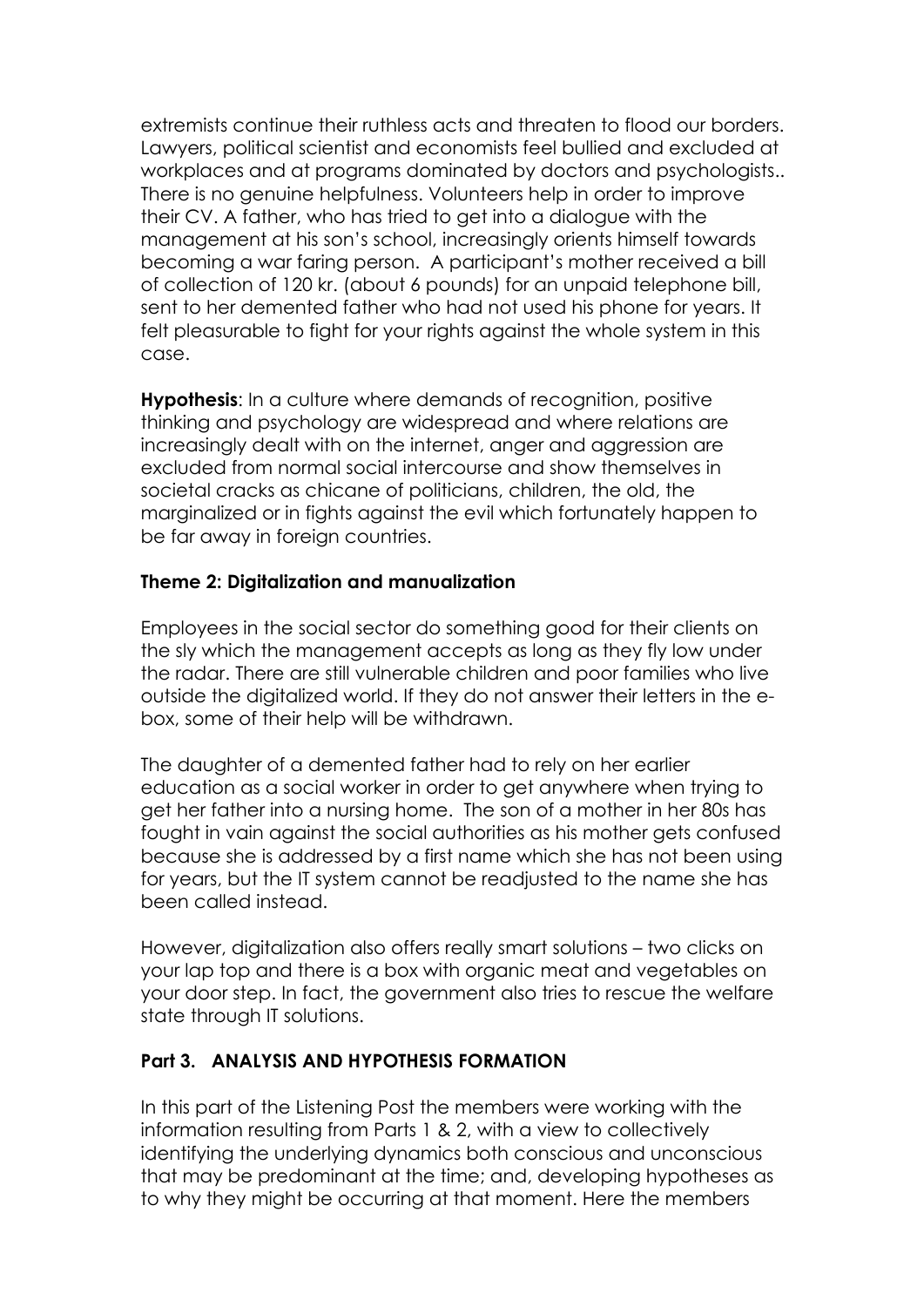extremists continue their ruthless acts and threaten to flood our borders. Lawyers, political scientist and economists feel bullied and excluded at workplaces and at programs dominated by doctors and psychologists.. There is no genuine helpfulness. Volunteers help in order to improve their CV. A father, who has tried to get into a dialogue with the management at his son's school, increasingly orients himself towards becoming a war faring person. A participant's mother received a bill of collection of 120 kr. (about 6 pounds) for an unpaid telephone bill, sent to her demented father who had not used his phone for years. It felt pleasurable to fight for your rights against the whole system in this case.

**Hypothesis**: In a culture where demands of recognition, positive thinking and psychology are widespread and where relations are increasingly dealt with on the internet, anger and aggression are excluded from normal social intercourse and show themselves in societal cracks as chicane of politicians, children, the old, the marginalized or in fights against the evil which fortunately happen to be far away in foreian countries.

### **Theme 2: Digitalization and manualization**

Employees in the social sector do something good for their clients on the sly which the management accepts as long as they fly low under the radar. There are still vulnerable children and poor families who live outside the digitalized world. If they do not answer their letters in the ebox, some of their help will be withdrawn.

The daughter of a demented father had to rely on her earlier education as a social worker in order to get anywhere when trying to get her father into a nursing home. The son of a mother in her 80s has fought in vain against the social authorities as his mother gets confused because she is addressed by a first name which she has not been using for years, but the IT system cannot be readjusted to the name she has been called instead.

However, digitalization also offers really smart solutions – two clicks on your lap top and there is a box with organic meat and vegetables on your door step. In fact, the government also tries to rescue the welfare state through IT solutions.

## **Part 3. ANALYSIS AND HYPOTHESIS FORMATION**

In this part of the Listening Post the members were working with the information resulting from Parts 1 & 2, with a view to collectively identifying the underlying dynamics both conscious and unconscious that may be predominant at the time; and, developing hypotheses as to why they might be occurring at that moment. Here the members